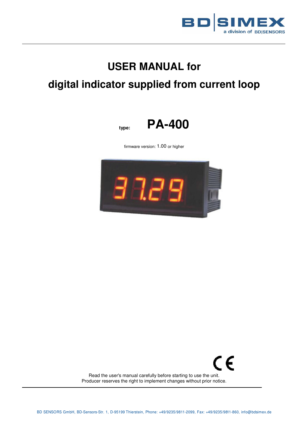

# **USER MANUAL for**

# **digital indicator supplied from current loop**



firmware version: 1.00 or higher



 $\epsilon$ Read the user's manual carefully before starting to use the unit. Producer reserves the right to implement changes without prior notice.

 $\overline{a}$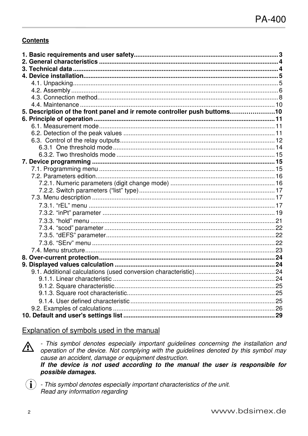## **Contents**

| 5. Description of the front panel and ir remote controller push buttoms10 |  |
|---------------------------------------------------------------------------|--|
|                                                                           |  |
|                                                                           |  |
|                                                                           |  |
|                                                                           |  |
|                                                                           |  |
|                                                                           |  |
|                                                                           |  |
|                                                                           |  |
|                                                                           |  |
|                                                                           |  |
|                                                                           |  |
|                                                                           |  |
|                                                                           |  |
|                                                                           |  |
|                                                                           |  |
|                                                                           |  |
|                                                                           |  |
|                                                                           |  |
|                                                                           |  |
|                                                                           |  |
|                                                                           |  |
|                                                                           |  |
|                                                                           |  |
|                                                                           |  |
|                                                                           |  |
|                                                                           |  |
|                                                                           |  |
|                                                                           |  |

Explanation of symbols used in the manual

 $\bigwedge$ 

- This symbol denotes especially important guidelines concerning the installation and operation of the device. Not complying with the guidelines denoted by this symbol may cause an accident, damage or equipment destruction. If the device is not used according to the manual the user is responsible for possible damages.



 $\binom{1}{1}$  - This symbol denotes especially important characteristics of the unit. Read any information regarding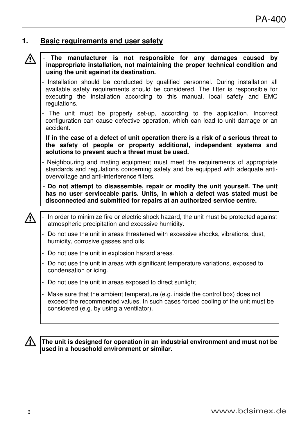# **1. Basic requirements and user safety**



- **The manufacturer is not responsible for any damages caused by inappropriate installation, not maintaining the proper technical condition and using the unit against its destination.** 

- Installation should be conducted by qualified personnel. During installation all available safety requirements should be considered. The fitter is responsible for executing the installation according to this manual, local safety and EMC regulations.
- The unit must be properly set-up, according to the application. Incorrect configuration can cause defective operation, which can lead to unit damage or an accident.
- If in the case of a defect of unit operation there is a risk of a serious threat to **the safety of people or property additional, independent systems and solutions to prevent such a threat must be used.**
- Neighbouring and mating equipment must meet the requirements of appropriate standards and regulations concerning safety and be equipped with adequate antiovervoltage and anti-interference filters.
- **Do not attempt to disassemble, repair or modify the unit yourself. The unit has no user serviceable parts. Units, in which a defect was stated must be disconnected and submitted for repairs at an authorized service centre.**
- In order to minimize fire or electric shock hazard, the unit must be protected against ∕!\ atmospheric precipitation and excessive humidity.
	- Do not use the unit in areas threatened with excessive shocks, vibrations, dust, humidity, corrosive gasses and oils.
	- Do not use the unit in explosion hazard areas.
	- Do not use the unit in areas with significant temperature variations, exposed to condensation or icing.
	- Do not use the unit in areas exposed to direct sunlight
	- Make sure that the ambient temperature (e.g. inside the control box) does not exceed the recommended values. In such cases forced cooling of the unit must be considered (e.g. by using a ventilator).



**The unit is designed for operation in an industrial environment and must not be used in a household environment or similar.**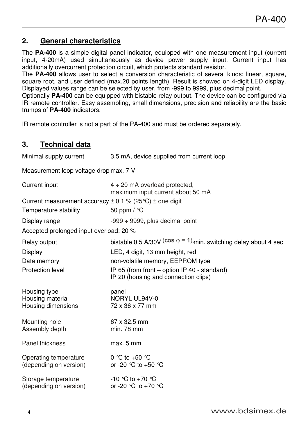# **2. General characteristics**

The **PA-400** is a simple digital panel indicator, equipped with one measurement input (current input, 4-20mA) used simultaneously as device power supply input. Current input has additionally overcurrent protection circuit, which protects standard resistor.

The **PA-400** allows user to select a conversion characteristic of several kinds: linear, square, square root, and user defined (max.20 points length). Result is showed on 4-digit LED display. Displayed values range can be selected by user, from -999 to 9999, plus decimal point.

Optionally **PA-400** can be equipped with bistable relay output. The device can be configured via IR remote controller. Easy assembling, small dimensions, precision and reliability are the basic trumps of **PA-400** indicators.

IR remote controller is not a part of the PA-400 and must be ordered separately.

# **3. Technical data**

Minimal supply current 3,5 mA, device supplied from current loop Measurement loop voltage drop max. 7 V Current input  $4 \div 20$  mA overload protected, maximum input current about 50 mA Current measurement accuracy  $\pm$  0,1 % (25 °C)  $\pm$  one digit Temperature stability 50 ppm / °C Display range  $-999 \div 9999$ , plus decimal point Accepted prolonged input overload: 20 % Relay output bistable 0.5 A/30V  $\frac{\cos \varphi = 1}{\sinh \theta}$ , switching delay about 4 sec Display LED, 4 digit, 13 mm height, red Data memory non-volatile memory, EEPROM type Protection level IP 65 (from front – option IP 40 - standard) IP 20 (housing and connection clips) Housing type **panel** Housing material NORYL UL94V-0 Housing dimensions 72 x 36 x 77 mm Mounting hole 67 x 32.5 mm Assembly depth min. 78 mm Panel thickness max. 5 mm Operating temperature 0  $^{\circ}$  to +50  $^{\circ}$ C (depending on version) or -20  $\degree$ C to +50  $\degree$ C Storage temperature  $-10$  °C to +70 °C (depending on version) or -20  $^{\circ}$ C to +70  $^{\circ}$ C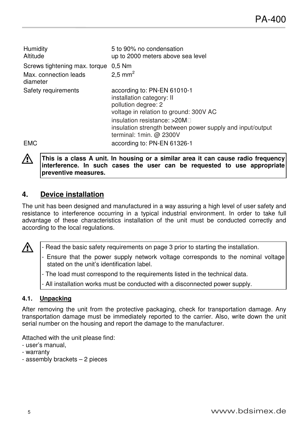| 5 to 90% no condensation<br>up to 2000 meters above sea level                                                                                         |
|-------------------------------------------------------------------------------------------------------------------------------------------------------|
| Screws tightening max. torque<br>$0.5$ Nm<br>$2.5$ mm <sup>2</sup>                                                                                    |
| according to: PN-EN 61010-1<br>installation category: II<br>pollution degree: 2<br>voltage in relation to ground: 300V AC                             |
| insulation resistance: > 20M<br>insulation strength between power supply and input/output<br>terminal: 1min. $@$ 2300V<br>according to: PN-EN 61326-1 |
|                                                                                                                                                       |



**This is a class A unit. In housing or a similar area it can cause radio frequency interference. In such cases the user can be requested to use appropriate preventive measures.** 

# **4. Device installation**

The unit has been designed and manufactured in a way assuring a high level of user safety and resistance to interference occurring in a typical industrial environment. In order to take full advantage of these characteristics installation of the unit must be conducted correctly and according to the local regulations.

 $\sum$  - Read the basic safety requirements on page 3 prior to starting the installation.

 - Ensure that the power supply network voltage corresponds to the nominal voltage stated on the unit's identification label.

- The load must correspond to the requirements listed in the technical data.

- All installation works must be conducted with a disconnected power supply.

## **4.1. Unpacking**

After removing the unit from the protective packaging, check for transportation damage. Any transportation damage must be immediately reported to the carrier. Also, write down the unit serial number on the housing and report the damage to the manufacturer.

Attached with the unit please find:

- user's manual,
- warranty
- assembly brackets 2 pieces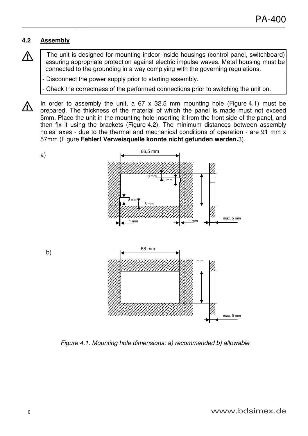# **4.2 Assembly**

- The unit is designed for mounting indoor inside housings (control panel, switchboard) assuring appropriate protection against electric impulse waves. Metal housing must be connected to the grounding in a way complying with the governing regulations.
	- Disconnect the power supply prior to starting assembly.
	- Check the correctness of the performed connections prior to switching the unit on.
- **A**

 $\triangle$ 

In order to assembly the unit, a  $67 \times 32.5$  mm mounting hole (Figure 4.1) must be prepared. The thickness of the material of which the panel is made must not exceed 5mm. Place the unit in the mounting hole inserting it from the front side of the panel, and then fix it using the brackets (Figure 4.2). The minimum distances between assembly holes' axes - due to the thermal and mechanical conditions of operation - are 91 mm x 57mm (Figure **Fehler! Verweisquelle konnte nicht gefunden werden.**3).



*Figure 4.1. Mounting hole dimensions: a) recommended b) allowable*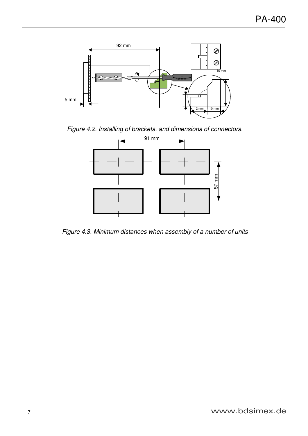

*Figure 4.2. Installing of brackets, and dimensions of connectors.* 



*Figure 4.3. Minimum distances when assembly of a number of units*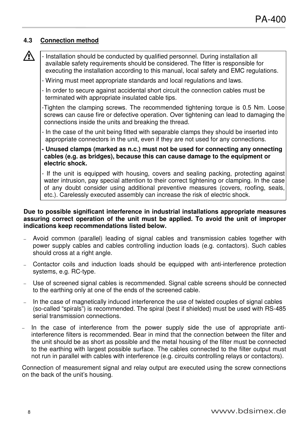### **4.3 Connection method**

- $\bigwedge$  Installation should be conducted by qualified personnel. During installation all available safety requirements should be considered. The fitter is responsible for executing the installation according to this manual, local safety and EMC regulations.
	- Wiring must meet appropriate standards and local regulations and laws.
	- In order to secure against accidental short circuit the connection cables must be terminated with appropriate insulated cable tips.
	- -Tighten the clamping screws. The recommended tightening torque is 0.5 Nm. Loose screws can cause fire or defective operation. Over tightening can lead to damaging the connections inside the units and breaking the thread.
	- In the case of the unit being fitted with separable clamps they should be inserted into appropriate connectors in the unit, even if they are not used for any connections.
	- **- Unused clamps (marked as n.c.) must not be used for connecting any onnecting cables (e.g. as bridges), because this can cause damage to the equipment or electric shock.**

 - If the unit is equipped with housing, covers and sealing packing, protecting against water intrusion, pay special attention to their correct tightening or clamping. In the case of any doubt consider using additional preventive measures (covers, roofing, seals, etc.). Carelessly executed assembly can increase the risk of electric shock.

#### **Due to possible significant interference in industrial installations appropriate measures assuring correct operation of the unit must be applied. To avoid the unit of improper indications keep recommendations listed below.**

- − Avoid common (parallel) leading of signal cables and transmission cables together with power supply cables and cables controlling induction loads (e.g. contactors). Such cables should cross at a right angle.
- − Contactor coils and induction loads should be equipped with anti-interference protection systems, e.g. RC-type.
- Use of screened signal cables is recommended. Signal cable screens should be connected to the earthing only at one of the ends of the screened cable.
- In the case of magnetically induced interference the use of twisted couples of signal cables (so-called "spirals") is recommended. The spiral (best if shielded) must be used with RS-485 serial transmission connections.
- In the case of interference from the power supply side the use of appropriate antiinterference filters is recommended. Bear in mind that the connection between the filter and the unit should be as short as possible and the metal housing of the filter must be connected to the earthing with largest possible surface. The cables connected to the filter output must not run in parallel with cables with interference (e.g. circuits controlling relays or contactors).

Connection of measurement signal and relay output are executed using the screw connections on the back of the unit's housing.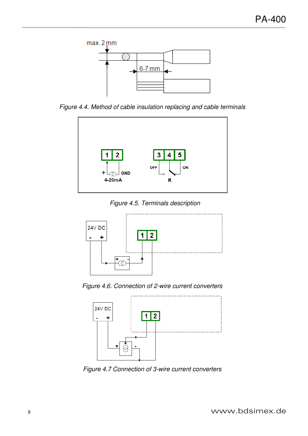

*Figure 4.4. Method of cable insulation replacing and cable terminals*



 *Figure 4.5. Terminals description* 



*Figure 4.6. Connection of 2-wire current converters*



*Figure 4.7 Connection of 3-wire current converters*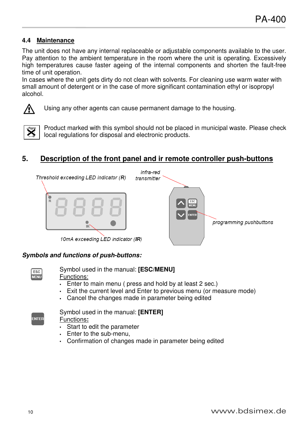## **4.4 Maintenance**

The unit does not have any internal replaceable or adjustable components available to the user. Pay attention to the ambient temperature in the room where the unit is operating. Excessively high temperatures cause faster ageing of the internal components and shorten the fault-free time of unit operation.

In cases where the unit gets dirty do not clean with solvents. For cleaning use warm water with small amount of detergent or in the case of more significant contamination ethyl or isopropyl alcohol.



Using any other agents can cause permanent damage to the housing.



Product marked with this symbol should not be placed in municipal waste. Please check local regulations for disposal and electronic products.

# **5. Description of the front panel and ir remote controller push-buttons**



#### *Symbols and functions of push-buttons:*



Symbol used in the manual: **[ESC/MENU]** Functions:

- Enter to main menu ( press and hold by at least 2 sec.)
- Exit the current level and Enter to previous menu (or measure mode)
- Cancel the changes made in parameter being edited



Symbol used in the manual: **[ENTER]**

Functions**:**

- Start to edit the parameter
- Enter to the sub-menu,
- Confirmation of changes made in parameter being edited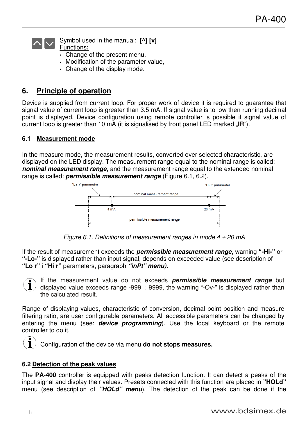

- Change of the present menu,
- Modification of the parameter value,
- Change of the display mode.

# **6. Principle of operation**

Device is supplied from current loop. For proper work of device it is required to guarantee that signal value of current loop is greater than 3.5 mA. If signal value is to low then running decimal point is displayed. Device configuration using remote controller is possible if signal value of current loop is greater than 10 mA (it is signalised by front panel LED marked "**IR**").

#### **6.1 Measurement mode**

In the measure mode, the measurement results, converted over selected characteristic, are displayed on the LED display. The measurement range equal to the nominal range is called: *nominal measurement range,* and the measurement range equal to the extended nominal range is called: *permissible measurement range* (Figure 6.1, 6.2).



*Figure 6.1. Definitions of measurement ranges in mode 4 ÷ 20 mA* 

If the result of measurement exceeds the *permissible measurement range*, warning **"-Hi-"** or **"-Lo-"** is displayed rather than input signal, depends on exceeded value (see description of **"Lo r"** i **"Hi r"** parameters, paragraph *"inPt" menu).* 



If the measurement value do not exceeds *permissible measurement range* but displayed value exceeds range -999  $\div$  9999, the warning "-Ov-" is displayed rather than the calculated result.

Range of displaying values, characteristic of conversion, decimal point position and measure filtering ratio, are user configurable parameters. All accessible parameters can be changed by entering the menu (see: *device programming*). Use the local keyboard or the remote controller to do it.

Configuration of the device via menu **do not stops measures.**

#### **6.2 Detection of the peak values**

The **PA-400** controller is equipped with peaks detection function. It can detect a peaks of the input signal and display their values. Presets connected with this function are placed in **"HOLd"**  menu (see description of *"HOLd" menu*). The detection of the peak can be done if the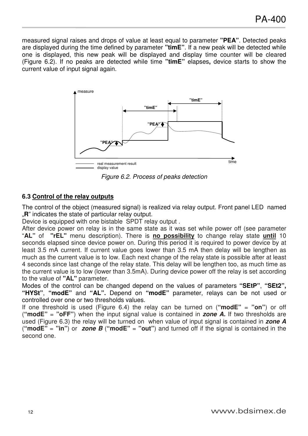measured signal raises and drops of value at least equal to parameter **"PEA"**. Detected peaks are displayed during the time defined by parameter **"timE"**. If a new peak will be detected while one is displayed, this new peak will be displayed and display time counter will be cleared (Figure 6.2). If no peaks are detected while time **"timE"** elapses**,** device starts to show the current value of input signal again.



*Figure 6.2. Process of peaks detection* 

### **6.3 Control of the relay outputs**

The control of the object (measured signal) is realized via relay output. Front panel LED named ..**R**" indicates the state of particular relay output.

Device is equipped with one bistable SPDT relay output .

After device power on relay is in the same state as it was set while power off (see parameter "**AL"** of **"rEL"** menu description). There is **no possibility** to change relay state **until** 10 seconds elapsed since device power on. During this period it is required to power device by at least 3.5 mA current. If current value goes lower than 3.5 mA then delay will be lengthen as much as the current value is to low. Each next change of the relay state is possible after at least 4 seconds since last change of the relay state. This delay will be lengthen too, as much time as the current value is to low (lower than 3.5mA). During device power off the relay is set according to the value of **"AL"** parameter.

Modes of the control can be changed depend on the values of parameters **"SEtP"**, **"SEt2", "HYSt"**, **"modE"** and **"AL".** Depend on **"modE"** parameter, relays can be not used or controlled over one or two thresholds values.

If one threshold is used (Figure 6.4) the relay can be turned on (**"modE"** = **"on"**) or off (**"modE"** = **"oFF"**) when the input signal value is contained in *zone A.* If two thresholds are used (Figure 6.3) the relay will be turned on when value of input signal is contained in *zone A*  ("**modE**" = "in") or **zone B** ("**modE**" = "out") and turned off if the signal is contained in the second one.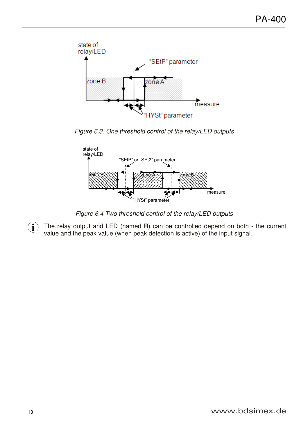

*Figure 6.3. One threshold control of the relay/LED outputs* 



*Figure 6.4 Two threshold control of the relay/LED outputs* 

The relay output and LED (named **R**) can be controlled depend on both - the current value and the peak value (when peak detection is active) of the input signal. **i**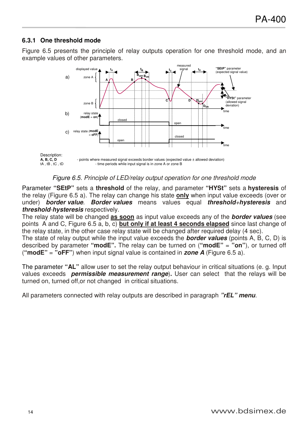## **6.3.1 One threshold mode**

Figure 6.5 presents the principle of relay outputs operation for one threshold mode, and an example values of other parameters.



#### *Figure 6.5. Principle of LED/relay output operation for one threshold mode*

Parameter **"SEtP"** sets a **threshold** of the relay, and parameter **"HYSt"** sets a **hysteresis** of the relay (Figure 6.5 a). The relay can change his state **only** when input value exceeds (over or under) *border value*. *Border values* means values equal *threshold+hysteresis* and *threshold-hysteresis* respectively.

The relay state will be changed **as soon** as input value exceeds any of the *border values* (see points A and C, Figure 6.5 a, b, c) **but only if at least 4 seconds elapsed** since last change of the relay state, in the other case relay state will be changed after required delay (4 sec). The state of relay output while the input value exceeds the *border values* (points A, B, C, D) is

described by parameter **"modE".** The relay can be turned on (**"modE"** = **"on"**), or turned off (**"modE"** = **"oFF"**) when input signal value is contained in *zone A* (Figure 6.5 a).

The parameter **"AL"** allow user to set the relay output behaviour in critical situations (e. g. Input values exceeds *permissible measurement range*)*.* User can select that the relays will be turned on, turned off,or not changed in critical situations.

All parameters connected with relay outputs are described in paragraph *"rEL" menu.*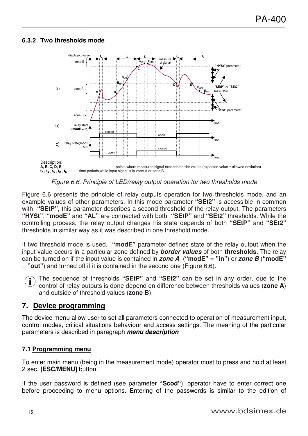## **6.3.2 Two thresholds mode**



*Figure 6.6. Principle of LED/relay output operation for two thresholds mode* 

Figure 6.6 presents the principle of relay outputs operation for two thresholds mode, and an example values of other parameters. In this mode parameter **"SEt2"** is accessible in common with **"SEtP**", this parameter describes a second threshold of the relay output. The parameters **"HYSt"**, **"modE"** and **"AL"** are connected with both **"SEtP"** and **"SEt2"** thresholds. While the controlling process, the relay output changes his state depends of both **"SEtP"** and **"SEt2"**  thresholds in similar way as it was described in one threshold mode.

If two threshold mode is used, **"modE"** parameter defines state of the relay output when the input value occurs in a particular zone defined by *border values* of both **thresholds**. The relay can be turned on if the input value is contained in *zone A* (**"modE"** = **"in"**) or *zone B* (**"modE"**  = **"out"**) and turned off if it is contained in the second one (Figure 6.6).

The sequence of thresholds **"SEtP"** and **"SEt2"** can be set in any order, due to the control of relay outputs is done depend on difference between thresholds values (**zone A**) and outside of threshold values (**zone B**). **i**

# **7. Device programming**

The device menu allow user to set all parameters connected to operation of measurement input, control modes, critical situations behaviour and access settings. The meaning of the particular parameters is described in paragraph *menu description*.

## **7.1 Programming menu**

To enter main menu (being in the measurement mode) operator must to press and hold at least 2 sec. **[ESC/MENU]** button.

If the user password is defined (see parameter **"Scod"**), operator have to enter correct one before proceeding to menu options. Entering of the passwords is similar to the edition of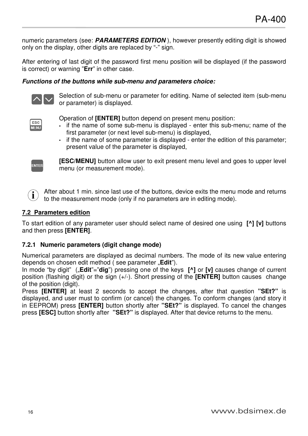numeric parameters (see: *PARAMETERS EDITION* ), however presently editing digit is showed only on the display, other digits are replaced by "-" sign.

After entering of last digit of the password first menu position will be displayed (if the password is correct) or warning "**Err**" in other case.

#### *Functions of the buttons while sub-menu and parameters choice:*



Selection of sub-menu or parameter for editing. Name of selected item (sub-menu or parameter) is displayed.



Operation of **[ENTER]** button depend on present menu position:

- if the name of some sub-menu is displayed enter this sub-menu; name of the first parameter (or next level sub-menu) is displayed,
- if the name of some parameter is displayed enter the edition of this parameter; present value of the parameter is displayed,



**[ESC/MENU]** button allow user to exit present menu level and goes to upper level menu (or measurement mode).

After about 1 min. since last use of the buttons, device exits the menu mode and returns to the measurement mode (only if no parameters are in editing mode). **i**

#### **7.2 Parameters edition**

To start edition of any parameter user should select name of desired one using **[^] [v]** buttons and then press **[ENTER]**.

#### **7.2.1 Numeric parameters (digit change mode)**

Numerical parameters are displayed as decimal numbers. The mode of its new value entering depends on chosen edit method ( see parameter "Edit").

In mode "by digit" ("**Edit**"="dig") pressing one of the keys [^] or [v] causes change of current position (flashing digit) or the sign (+/-). Short pressing of the **[ENTER]** button causes change of the position (digit).

Press **[ENTER]** at least 2 seconds to accept the changes, after that question **"SEt?"** is displayed, and user must to confirm (or cancel) the changes. To conform changes (and story it in EEPROM) press **[ENTER]** button shortly after **"SEt?"** is displayed. To cancel the changes press **[ESC]** button shortly after **"SEt?"** is displayed. After that device returns to the menu.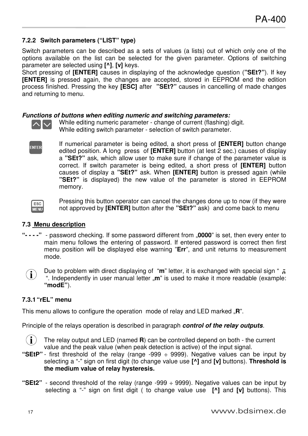## **7.2.2 Switch parameters ("LIST" type)**

Switch parameters can be described as a sets of values (a lists) out of which only one of the options available on the list can be selected for the given parameter. Options of switching parameter are selected using **[^]**, **[v]** keys.

Short pressing of **[ENTER]** causes in displaying of the acknowledge question (**"SEt?"**). If key **[ENTER]** is pressed again, the changes are accepted, stored in EEPROM end the edition process finished. Pressing the key **[ESC]** after **"SEt?"** causes in cancelling of made changes and returning to menu.

#### *Functions of buttons when editing numeric and switching parameters:*



While editing numeric parameter - change of current (flashing) digit. While editing switch parameter - selection of switch parameter.

**ENTER** 

If numerical parameter is being edited, a short press of **[ENTER]** button change edited position. A long press of **[ENTER]** button (at lest 2 sec.) causes of display a **"SEt?"** ask, which allow user to make sure if change of the parameter value is correct. If switch parameter is being edited, a short press of **[ENTER]** button causes of display a **"SEt?"** ask. When **[ENTER]** button is pressed again (while **"SEt?"** is displayed) the new value of the parameter is stored in EEPROM memory.



Pressing this button operator can cancel the changes done up to now (if they were not approved by **[ENTER]** button after the **"SEt?"** ask) and come back to menu

#### **7.3 Menu description**

**"- - - -"** - password checking. If some password different from "**0000**" is set, then every enter to main menu follows the entering of password. If entered password is correct then first menu position will be displayed else warning "**Err**", and unit returns to measurement mode.

Due to problem with direct displaying of "**m**" letter, it is exchanged with special sign " ". Independently in user manual letter ..**m**" is used to make it more readable (example: **"modE"**). **i**

#### **7.3.1 "rEL" menu**

This menu allows to configure the operation mode of relay and LED marked "R".

Principle of the relays operation is described in paragraph *control of the relay outputs.* 

The relay output and LED (named **R**) can be controlled depend on both - the current value and the peak value (when peak detection is active) of the input signal. **i**

- **"SEtP"**  first threshold of the relay (range -999 ÷ 9999). Negative values can be input by selecting a "-" sign on first digit (to change value use **[^]** and **[v]** buttons). **Threshold is the medium value of relay hysteresis.**
- **"SEt2"**  second threshold of the relay (range -999 ÷ 9999). Negative values can be input by selecting a "-" sign on first digit ( to change value use **[^]** and **[v]** buttons). This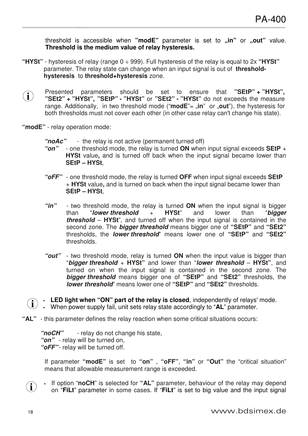threshold is accessible when "modE" parameter is set to "in" or "out" value. **Threshold is the medium value of relay hysteresis.** 

- **"HYSt"**  hysteresis of relay (range 0 ÷ 999). Full hysteresis of the relay is equal to 2x **"HYSt"** parameter. The relay state can change when an input signal is out of **thresholdhysteresis** to **threshold+hysteresis** zone.
- Presented parameters should be set to ensure that **"SEtP" + "HYSt", "SEt2" + "HYSt", "SEtP" - "HYSt"** or **"SEt2" - "HYSt"** do not exceeds the measure range. Additionally, in two threshold mode ("**modE**"= ", **in**" or ", out"), the hysteresis for both thresholds must not cover each other (in other case relay can't change his state). **i**
- **"modE"** relay operation mode:

*"noAc"* - the relay is not active (permanent turned off)

- *"on"* one threshold mode, the relay is turned **ON** when input signal exceeds **SEtP** + **HYSt** value**,** and is turned off back when the input signal became lower than **SEtP – HYSt**,
- *"oFF"* one threshold mode, the relay is turned **OFF** when input signal exceeds **SEtP** + **HYSt** value**,** and is turned on back when the input signal became lower than **SEtP – HYSt**,
- *"in"* two threshold mode, the relay is turned **ON** when the input signal is bigger<br>than *"lower threshold* + HYSt" and lower than "*bigger*" than "*lower threshold* + **HYSt**" and lower than "*bigger threshold* – **HYSt**", and turned off when the input signal is contained in the second zone. The *bigger threshold* means bigger one of **"SEtP"** and **"SEt2"**  thresholds, the *lower threshold*" means lower one of **"SEtP"** and **"SEt2"**  thresholds.
- *"out"* two threshold mode, relay is turned **ON** when the input value is bigger than "*bigger threshold* + **HYSt"** and lower than "*lower threshold* – **HYSt"**, and turned on when the input signal is contained in the second zone. The *bigger threshold* means bigger one of **"SEtP"** and **"SEt2"** thresholds, the *lower threshold*" means lower one of **"SEtP"** and **"SEt2"** thresholds.

• **LED light when "ON" part of the relay is closed**, independently of relays' mode. • When power supply fail, unit sets relay state accordingly to "**AL**" parameter. **i**

**"AL"** - this parameter defines the relay reaction when some critical situations occurs:

 *"noCH"* - relay do not change his state,  *"on"* - relay will be turned on, "*oFF*"- relay will be turned off.

If parameter **"modE"** is set to **"on"** , **"oFF"**, **"in"** or **"Out"** the "critical situation" means that allowable measurement range is exceeded.

• If option "**noCH**" is selected for **"AL"** parameter, behaviour of the relay may depend on "**FiLt**" parameter in some cases. If "**FiLt**" is set to big value and the input signal **i**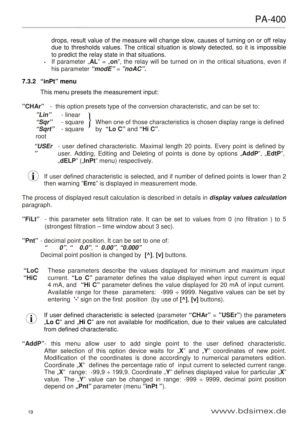drops, result value of the measure will change slow, causes of turning on or off relay due to thresholds values. The critical situation is slowly detected, so it is impossible to predict the relay state in that situations.

• If parameter "AL" = "on", the relay will be turned on in the critical situations, even if his parameter *"modE" = "noAC".* 

#### **7.3.2 "inPt" menu**

This menu presets the measurement input:

**"CHAr"** - this option presets type of the conversion characteristic, and can be set to:

```
"Lin" - linear<br>"Sar" - sauare
"Sqr" - square 
          - square
root 
                       When one of those characteristics is chosen display range is defined
                       by "Lo C" and "Hi C".
```
- *"USEr* user defined characteristic. Maximal length 20 points. Every point is defined by *"*  user. Adding, Editing and Deleting of points is done by options "AddP", "EdtP", "**dELP**" ("InPt" menu) respectively.
- $\hat{I}$ ) If user defined characteristic is selected, and if number of defined points is lower than 2 then warning "**Errc**" is displayed in measurement mode.

The process of displayed result calculation is described in details in *display values calculation* paragraph.

- **"FiLt"**  this parameter sets filtration rate. It can be set to values from 0 (no filtration ) to 5 (strongest filtration – time window about 3 sec).
- **"Pnt"**  decimal point position. It can be set to one of: *" 0", " 0.0", " 0.00", "0.000"*  Decimal point position is changed by **[^]**, **[v]** buttons.
- **"LoC "HiC**  These parameters describe the values displayed for minimum and maximum input current. **"Lo C"** parameter defines the value displayed when input current is equal 4 mA, and **"Hi C"** parameter defines the value displayed for 20 mA of input current. Available range for these parameters: -999 ÷ 9999. Negative values can be set by entering **'-'** sign on the first position (by use of **[^]**, **[v]** buttons).
- If user defined characteristic is selected (parameter **"CHAr"** = **"USEr"**) the parameters "**Lo C**" and "**Hi C**" are not available for modification, due to their values are calculated from defined characteristic. **i**
- **"AddP"** this menu allow user to add single point to the user defined characteristic. After selection of this option device waits for "X" and "Y" coordinates of new point. Modification of the coordinates is done accordingly to numerical parameters edition. Coordinate "**X**" defines the percentage ratio of input current to selected current range. The  $\mathbb{R}^n$  range: -99,9 ÷ 199,9. Coordinate  $\mathbb{R}^n$  defines displayed value for particular  $\mathbb{R}^n$ value. The  $\mathbf{v}$ " value can be changed in range: -999  $\div$  9999, decimal point position depend on "Pnt" parameter (menu "inPt").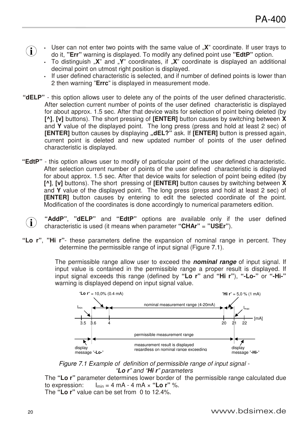- User can not enter two points with the same value of "X" coordinate. If user trays to do it, **"Err"** warning is displayed. To modify any defined point use **"EdtP"** option. **i**
	- To distinguish "X" and "Y" coordinates, if "X" coordinate is displayed an additional decimal point on utmost right position is displayed.
	- If user defined characteristic is selected, and if number of defined points is lower than 2 then warning "**Errc**" is displayed in measurement mode.
- **"dELP"**  this option allows user to delete any of the points of the user defined characteristic. After selection current number of points of the user defined characteristic is displayed for about approx. 1.5 sec. After that device waits for selection of point being deleted (by **[^]**, **[v]** buttons). The short pressing of **[ENTER]** button causes by switching between **X** and **Y** value of the displayed point. The long press (press and hold at least 2 sec) of **[ENTER]** button causes by displaying "dEL?" ask. If **[ENTER]** button is pressed again, current point is deleted and new updated number of points of the user defined characteristic is displayed.
- **"EdtP"**  this option allows user to modify of particular point of the user defined characteristic. After selection current number of points of the user defined characteristic is displayed for about approx. 1.5 sec. After that device waits for selection of point being edited (by **[^]**, **[v]** buttons). The short pressing of **[ENTER]** button causes by switching between **X** and **Y** value of the displayed point. The long press (press and hold at least 2 sec) of **[ENTER]** button causes by entering to edit the selected coordinate of the point. Modification of the coordinates is done accordingly to numerical parameters edition.

**"AddP"**, **"dELP"** and **"EdtP"** options are available only if the user defined characteristic is used (it means when parameter **"CHAr"** = **"USEr"**). **i**

**"Lo r"**, **"Hi r"**- these parameters define the expansion of nominal range in percent. They determine the permissible range of input signal (Figure 7.1).

> The permissible range allow user to exceed the *nominal range* of input signal. If input value is contained in the permissible range a proper result is displayed. If input signal exceeds this range (defined by **"Lo r"** and **"Hi r"**), **"-Lo-"** or **"-Hi-"**  warning is displayed depend on input signal value.



*Figure 7.1 Example of definition of permissible range of input signal - "Lo r" and "Hi r" parameters*

The **"Lo r"** parameter determines lower border of the permissible range calculated due to expression:  $I_{min} = 4 mA - 4 mA \times$  "Lo r" %.

The **"Lo r"** value can be set from 0 to 12.4%.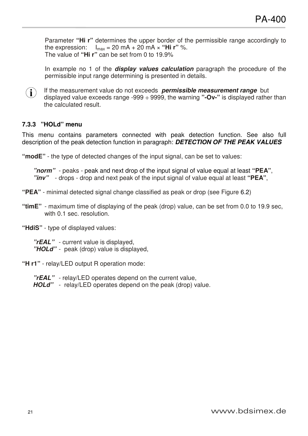Parameter **"Hi r"** determines the upper border of the permissible range accordingly to the expression:  $I_{max} = 20 \text{ mA} + 20 \text{ mA} \times \text{``Hi r'' } \%$ . The value of **"Hi r"** can be set from 0 to 19.9%

In example no 1 of the *display values calculation* paragraph the procedure of the permissible input range determining is presented in details.

**i**

If the measurement value do not exceeds *permissible measurement range* but displayed value exceeds range -999 ÷ 9999, the warning **"-Ov-"** is displayed rather than the calculated result.

#### **7.3.3 "HOLd" menu**

This menu contains parameters connected with peak detection function. See also full description of the peak detection function in paragraph: *DETECTION OF THE PEAK VALUES* 

**"modE"** - the type of detected changes of the input signal, can be set to values:

*"norm"* - peaks - peak and next drop of the input signal of value equal at least **"PEA"**, *"inv"* - drops - drop and next peak of the input signal of value equal at least **"PEA"**,

**"PEA"** - minimal detected signal change classified as peak or drop (see Figure 6.2)

**"timE"** - maximum time of displaying of the peak (drop) value, can be set from 0.0 to 19.9 sec, with 0.1 sec. resolution.

**"HdiS"** - type of displayed values:

*"rEAL"* - current value is displayed, *"HOLd"* - peak (drop) value is displayed,

**"H r1"** - relay/LED output R operation mode:

*"rEAL"* - relay/LED operates depend on the current value,

*HOLd"* - relay/LED operates depend on the peak (drop) value.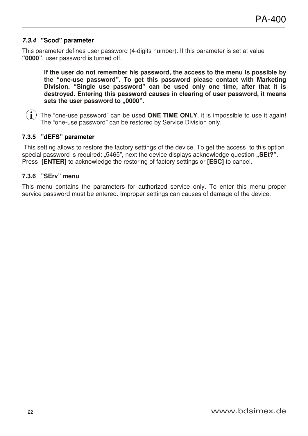#### *7.3.4* **"Scod" parameter**

This parameter defines user password (4-digits number). If this parameter is set at value **"0000"**, user password is turned off.

**If the user do not remember his password, the access to the menu is possible by the "one-use password". To get this password please contact with Marketing Division. "Single use password" can be used only one time, after that it is destroyed. Entering this password causes in clearing of user password, it means**  sets the user password to "0000".



The "one-use password" can be used **ONE TIME ONLY**, it is impossible to use it again! The "one-use password" can be restored by Service Division only.

#### **7.3.5 "dEFS" parameter**

 This setting allows to restore the factory settings of the device. To get the access to this option special password is required: "5465", next the device displays acknowledge question "SEt?". Press **[ENTER]** to acknowledge the restoring of factory settings or **[ESC]** to cancel.

### **7.3.6 "SErv" menu**

This menu contains the parameters for authorized service only. To enter this menu proper service password must be entered. Improper settings can causes of damage of the device.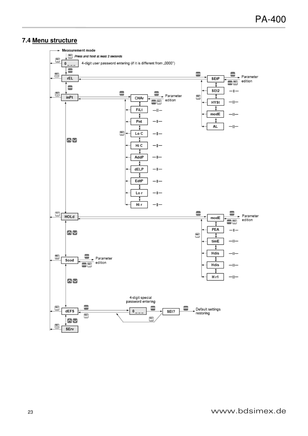#### **7.4 Menu structure**

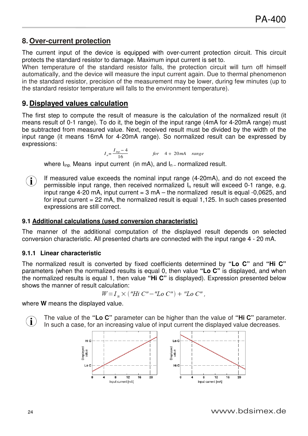# **8. Over-current protection**

The current input of the device is equipped with over-current protection circuit. This circuit protects the standard resistor to damage. Maximum input current is set to.

When temperature of the standard resistor falls, the protection circuit will turn off himself automatically, and the device will measure the input current again. Due to thermal phenomenon in the standard resistor, precision of the measurement may be lower, during few minutes (up to the standard resistor temperature will falls to the environment temperature).

## **9. Displayed values calculation**

The first step to compute the result of measure is the calculation of the normalized result (it means result of 0-1 range). To do it, the begin of the input range (4mA for 4-20mA range) must be subtracted from measured value. Next, received result must be divided by the width of the input range (it means 16mA for 4-20mA range). So normalized result can be expressed by expressions:

$$
I_n = \frac{I_{inp} - 4}{16} \qquad \qquad \text{for} \quad 4 \div 20 \, mA \quad range
$$

where  $I_{\text{ino}}$ . Means input current (in mA), and  $I_{n-}$  normalized result.

If measured value exceeds the nominal input range (4-20mA), and do not exceed the permissible input range, then received normalized  $I<sub>n</sub>$  result will exceed 0-1 range, e.g. input range 4-20 mA, input current  $= 3$  mA  $-$  the normalized result is equal -0,0625, and for input current  $= 22$  mA, the normalized result is equal 1,125. In such cases presented expressions are still correct. **i**

#### **9.1 Additional calculations (used conversion characteristic)**

The manner of the additional computation of the displayed result depends on selected conversion characteristic. All presented charts are connected with the input range 4 - 20 mA.

#### **9.1.1 Linear characteristic**

The normalized result is converted by fixed coefficients determined by **"Lo C"** and **"Hi C"** parameters (when the normalized results is equal 0, then value **"Lo C"** is displayed, and when the normalized results is equal 1, then value **"Hi C"** is displayed). Expression presented below shows the manner of result calculation:

$$
W=I_n\times ("Hi C''-" Lo C") + "Lo C",
$$

where **W** means the displayed value.

The value of the **"Lo C"** parameter can be higher than the value of **"Hi C"** parameter. In such a case, for an increasing value of input current the displayed value decreases. **i**

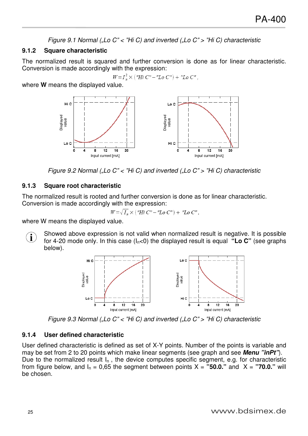*Figure 9.1 Normal ("Lo C" < "Hi C) and inverted ("Lo C" > "Hi C) characteristic* 

## **9.1.2 Square characteristic**

The normalized result is squared and further conversion is done as for linear characteristic. Conversion is made accordingly with the expression:

$$
W = I_n^2 \times ("Hi C" - "Lo C") + "Lo C",
$$

where **W** means the displayed value.



*Figure 9.2 Normal ("Lo C" < "Hi C) and inverted ("Lo C" > "Hi C) characteristic* 

#### **9.1.3 Square root characteristic**

The normalized result is rooted and further conversion is done as for linear characteristic. Conversion is made accordingly with the expression:

$$
W = \sqrt{I_n} \times (\text{``Hi } C'' - \text{''Lo } C'') + \text{''Lo } C'',
$$

where W means the displayed value.



Showed above expression is not valid when normalized result is negative. It is possible for 4-20 mode only. In this case  $(I_n < 0)$  the displayed result is equal "Lo C" (see graphs below).



*Figure 9.3 Normal ("Lo C" < "Hi C) and inverted ("Lo C" > "Hi C) characteristic* 

#### **9.1.4 User defined characteristic**

User defined characteristic is defined as set of X-Y points. Number of the points is variable and may be set from 2 to 20 points which make linear segments (see graph and see *Menu "inPt"*). Due to the normalized result  $I_n$ , the device computes specific segment, e.g. for characteristic from figure below, and  $I_n = 0.65$  the segment between points  $X =$  "50.0." and  $X =$  "70.0." will be chosen.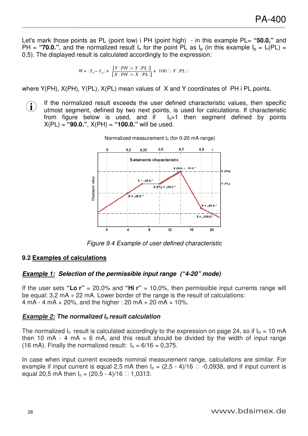Let's mark those points as PL (point low) i PH (point high) - in this example PL= **"50.0,"** and PH = "70.0.", and the normalized result  $I_n$  for the point PL as  $I_p$  (in this example  $I_p = I_n(PL) =$ 0,5). The displayed result is calculated accordingly to the expression:

$$
W = I_n - I_p \times \frac{[Y \text{ PH} - Y \text{ PL}]}{[X \text{ PH} - X \text{ PL}]} \times 100 \text{ Y PL}
$$

where Y(PH), X(PH), Y(PL), X(PL) mean values of X and Y coordinates of PH i PL points.

If the normalized result exceeds the user defined characteristic values, then specific utmost segment, defined by two next points, is used for calculations. If characteristic from figure below is used, and if  $I_n>1$  then segment defined by points X(PL) = **"90.0."**, X(PH) = **"100.0."** will be used. **i**



Normalized measurement  $I_n$  (for 0-20 mA range)

*Figure 9.4 Example of user defined characteristic* 

#### **9.2 Examples of calculations**

#### *Example 1: Selection of the permissible input range ("4-20" mode)*

If the user sets **"Lo r"** = 20,0% and **"Hi r"** = 10,0%, then permissible input currents range will be equal:  $3,2 \text{ mA} \div 22 \text{ mA}$ . Lower border of the range is the result of calculations: 4 mA - 4 mA  $\times$  20%, and the higher : 20 mA + 20 mA  $\times$  10%.

#### *Example 2: The normalized In result calculation*

The normalized  $I_n$  result is calculated accordingly to the expression on page 24, so if  $I_{in}$  = 10 mA then 10 mA  $-$  4 mA  $=$  6 mA, and this result should be divided by the width of input range (16 mA). Finally the normalized result:  $I_n = 6/16 = 0,375$ .

In case when input current exceeds nominal measurement range, calculations are similar. For example if input current is equal 2,5 mA then  $I_n = (2.5 - 4)/16$  -0,0938, and if input current is equal 20,5 mA then  $I_n = (20.5 - 4)/16$  1,0313.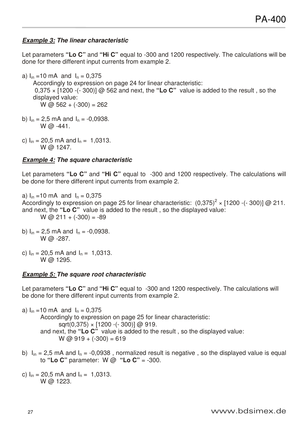## *Example 3: The linear characteristic*

Let parameters **"Lo C"** and **"Hi C"** equal to -300 and 1200 respectively. The calculations will be done for there different input currents from example 2.

a)  $I_{in} = 10$  mA and  $I_{n} = 0.375$ Accordingly to expression on page 24 for linear characteristic: 0,375 × [1200 -(- 300)] @ 562 and next, the **"Lo C"** value is added to the result , so the displayed value: W @  $562 + (-300) = 262$ b)  $I_{in} = 2.5$  mA and  $I_{n} = -0.0938$ . W @ -441.

c)  $I_{in} = 20.5$  mA and  $I_{n} = 1.0313$ . W @ 1247.

## *Example 4: The square characteristic*

Let parameters **"Lo C"** and **"Hi C"** equal to -300 and 1200 respectively. The calculations will be done for there different input currents from example 2.

a)  $I_{in} = 10$  mA and  $I_n = 0,375$ Accordingly to expression on page 25 for linear characteristic:  $(0.375)^2 \times [1200 - (-300)]$  @ 211. and next, the **"Lo C"** value is added to the result , so the displayed value: W @  $211 + (-300) = -89$ 

b)  $I_{in} = 2.5$  mA and  $I_{n} = -0.0938$ . W @ -287.

c)  $I_{in} = 20.5$  mA and  $I_{n} = 1.0313$ . W @ 1295.

## *Example 5: The square root characteristic*

Let parameters **"Lo C"** and **"Hi C"** equal to -300 and 1200 respectively. The calculations will be done for there different input currents from example 2.

a)  $I_{in} = 10$  mA and  $I_{n} = 0.375$  Accordingly to expression on page 25 for linear characteristic:  $sqrt(0,375) \times [1200 - (-300)]$  @ 919. and next, the **"Lo C"** value is added to the result , so the displayed value:  $W \text{ @ } 919 + (-300) = 619$ 

b)  $I_{in} = 2.5$  mA and  $I_n = -0.0938$ , normalized result is negative, so the displayed value is equal to **"Lo C"** parameter: W @ **"Lo C"** = -300.

c)  $I_{in} = 20.5$  mA and  $I_n = 1.0313$ . W @ 1223.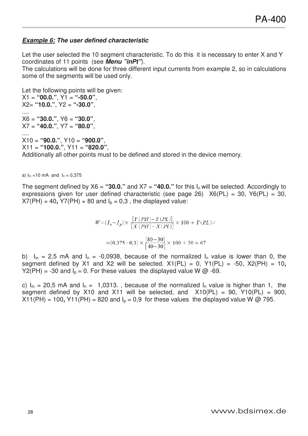### *Example 6: The user defined characteristic*

Let the user selected the 10 segment characteristic. To do this it is necessary to enter X and Y coordinates of 11 points (see *Menu "inPt"*).

The calculations will be done for three different input currents from example 2, so in calculations some of the segments will be used only.

Let the following points will be given: X1 = **"00.0."**, Y1 = **"-50.0"**, X2= **"10.0."**, Y2 = **"-30.0"**, .... X6 = **"30.0."**, Y6 = **"30.0"**, X7 = **"40.0."**, Y7 = **"80.0"**, .... X10 = **"90.0."**, Y10 = **"900.0"**, X11 = **"100.0."**, Y11 = **"820.0"**, Additionally all other points must to be defined and stored in the device memory.

a)  $I_{in} = 10$  mA and  $I_{n} = 0,375$ 

The segment defined by  $X6 =$  "30.0." and  $X7 =$  "40.0." for this  $I_n$  will be selected. Accordingly to expressions given for user defined characteristic (see page 26)  $X6(PL) = 30$ ,  $Y6(PL) = 30$ ,  $X7(PH) = 40$ ,  $Y7(PH) = 80$  and  $I<sub>p</sub> = 0.3$ , the displayed value:

$$
W = (I_n - I_p) \times \frac{[Y(PH) - Y(PL)]}{[X(PH) - X(PL)]} \times 100 + Y(PL) =
$$
  
= (0,375 - 0,3) \times \frac{[80 - 30]}{[40 - 30]} \times 100 + 30 \approx 67

b)  $I_{in} = 2.5$  mA and  $I_n = -0.0938$ , because of the normalized  $I_n$  value is lower than 0, the segment defined by X1 and X2 will be selected.  $X1(PL) = 0$ ,  $Y1(PL) = -50$ ,  $X2(PH) = 10$ , Y2(PH) = -30 and  $I_p = 0$ . For these values the displayed value W  $\omega$  -69.

c)  $I_{in}$  = 20,5 mA and  $I_{n}$  = 1,0313., because of the normalized  $I_{n}$  value is higher than 1, the segment defined by X10 and X11 will be selected, and  $X10(PL) = 90$ , Y10(PL) = 900,  $X11(PH) = 100$ ,  $Y11(PH) = 820$  and  $I_p = 0.9$  for these values the displayed value W @ 795.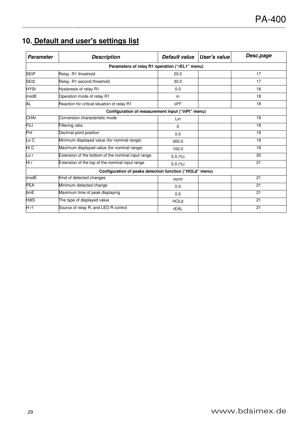# **10. Default and user's settings list**

| <b>Parameter</b>                                        | <b>Description</b>                                 | Default value | User's value | Desc.page |  |  |  |
|---------------------------------------------------------|----------------------------------------------------|---------------|--------------|-----------|--|--|--|
| Parameters of relay R1 operation ("rEL1" menu)          |                                                    |               |              |           |  |  |  |
| <b>SEtP</b>                                             | Relay R1 threshold                                 | 20.0          |              | 17        |  |  |  |
| SE <sub>t2</sub>                                        | Relay R1 second threshold                          | 30.0          |              | 17        |  |  |  |
| <b>HYSt</b>                                             | Hysteresis of relay R1                             | 0.0           |              | 18        |  |  |  |
| modE                                                    | Operation mode of relay R1                         | in            |              | 18        |  |  |  |
| AL                                                      | Reaction for critical situation of relay R1        | <b>oFF</b>    |              | 18        |  |  |  |
| Configuration of measurement input ("inPt" menu)        |                                                    |               |              |           |  |  |  |
| <b>CHAr</b>                                             | Conversion characteristic mode                     | Lin           |              | 19        |  |  |  |
| FiLt                                                    | Filtering ratio                                    | 0             |              | 19        |  |  |  |
| Pnt                                                     | Decimal point position                             | 0.0           |              | 19        |  |  |  |
| Lo C                                                    | Minimum displayed value (for nominal range)        | 000.0         |              | 19        |  |  |  |
| Hi C                                                    | Maximum displayed value (for nominal range)        | 100.0         |              | 19        |  |  |  |
| Lo r                                                    | Extension of the bottom of the nominal input range | 5.0(%)        |              | 20        |  |  |  |
| Hi r                                                    | Extension of the top of the nominal input range    | 5.0 $(\%)$    |              | 21        |  |  |  |
| Configuration of peaks detection function ("HOLd" menu) |                                                    |               |              |           |  |  |  |
| modE                                                    | Kind of detected changes                           | norm          |              | 21        |  |  |  |
| <b>PEA</b>                                              | Minimum detected change                            | 0.0           |              | 21        |  |  |  |
| timE                                                    | Maximum time of peak displaying                    | 0.0           |              | 21        |  |  |  |
| <b>HdiS</b>                                             | The type of displayed value                        | <b>HOLd</b>   |              | 21        |  |  |  |
| H r1                                                    | Source of relay R, and LED R control               | rEAL          |              | 21        |  |  |  |